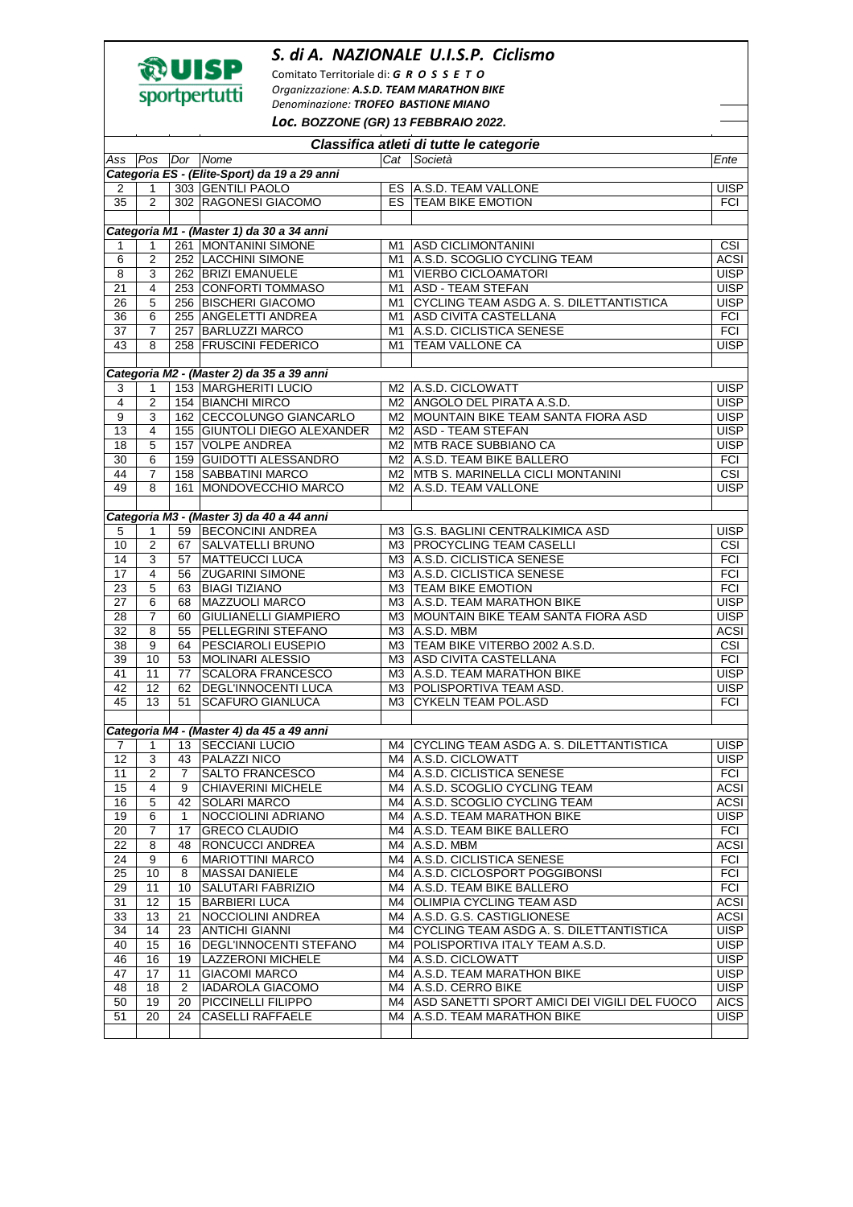## *S. di A. NAZIONALE U.I.S.P. Ciclismo*



Comitato Territoriale di: *G R O S S E T O Organizzazione: A.S.D. TEAM MARATHON BIKE Denominazione: TROFEO BASTIONE MIANO*

*Loc.* **BOZZONE (GR) 13 FEBBRAIO 2022.** 

| Classifica atleti di tutte le categorie   |                     |                |                                              |    |                                                               |                         |  |  |  |  |  |
|-------------------------------------------|---------------------|----------------|----------------------------------------------|----|---------------------------------------------------------------|-------------------------|--|--|--|--|--|
| Ass                                       | Pos                 |                | Dor Nome                                     |    | Cat Società                                                   | Ente                    |  |  |  |  |  |
|                                           |                     |                | Categoria ES - (Elite-Sport) da 19 a 29 anni |    |                                                               |                         |  |  |  |  |  |
| $\overline{2}$                            | 1                   |                | 303 GENTILI PAOLO                            |    | ES A.S.D. TEAM VALLONE                                        | <b>UISP</b>             |  |  |  |  |  |
| 35                                        | 2                   |                | 302 RAGONESI GIACOMO                         |    | ES TEAM BIKE EMOTION                                          | <b>FCI</b>              |  |  |  |  |  |
|                                           |                     |                |                                              |    |                                                               |                         |  |  |  |  |  |
| Categoria M1 - (Master 1) da 30 a 34 anni |                     |                |                                              |    |                                                               |                         |  |  |  |  |  |
| 1                                         | 1                   |                | 261 MONTANINI SIMONE                         |    | M1 ASD CICLIMONTANINI                                         | $\overline{\text{CSI}}$ |  |  |  |  |  |
| 6                                         | $\overline{c}$      |                | 252 LACCHINI SIMONE                          | M1 | A.S.D. SCOGLIO CYCLING TEAM                                   | <b>ACSI</b>             |  |  |  |  |  |
| $\overline{8}$                            | $\mathsf 3$         |                | 262 BRIZI EMANUELE                           | M1 | <b>VIERBO CICLOAMATORI</b>                                    | <b>UISP</b>             |  |  |  |  |  |
| 21                                        | 4                   |                | 253 CONFORTI TOMMASO                         | M1 | <b>ASD - TEAM STEFAN</b>                                      | <b>UISP</b>             |  |  |  |  |  |
| 26                                        | 5                   |                | 256 BISCHERI GIACOMO                         | M1 | CYCLING TEAM ASDG A. S. DILETTANTISTICA                       | <b>UISP</b>             |  |  |  |  |  |
| 36                                        | 6                   |                | 255 ANGELETTI ANDREA                         | M1 | ASD CIVITA CASTELLANA                                         | <b>FCI</b>              |  |  |  |  |  |
| 37                                        | $\overline{7}$      |                | 257 BARLUZZI MARCO                           | M1 | A.S.D. CICLISTICA SENESE                                      | <b>FCI</b>              |  |  |  |  |  |
| $\overline{43}$                           | 8                   |                | 258 FRUSCINI FEDERICO                        | M1 | <b>TEAM VALLONE CA</b>                                        | <b>UISP</b>             |  |  |  |  |  |
|                                           |                     |                |                                              |    |                                                               |                         |  |  |  |  |  |
|                                           |                     |                | Categoria M2 - (Master 2) da 35 a 39 anni    |    |                                                               |                         |  |  |  |  |  |
| 3                                         | $\mathbf{1}$        |                | 153 MARGHERITI LUCIO                         |    | M2   A.S.D. CICLOWATT                                         | <b>UISP</b>             |  |  |  |  |  |
| $\overline{\mathbf{4}}$                   | $\overline{2}$      |                | 154 BIANCHI MIRCO                            |    | M2 ANGOLO DEL PIRATA A.S.D.                                   | <b>UISP</b>             |  |  |  |  |  |
| 9                                         | 3                   |                | 162 CECCOLUNGO GIANCARLO                     |    | M2 MOUNTAIN BIKE TEAM SANTA FIORA ASD<br>M2 ASD - TEAM STEFAN | <b>UISP</b>             |  |  |  |  |  |
| 13                                        | 4                   |                | 155 GIUNTOLI DIEGO ALEXANDER                 |    |                                                               | <b>UISP</b>             |  |  |  |  |  |
| 18                                        | 5                   |                | 157 VOLPE ANDREA                             |    | M2 MTB RACE SUBBIANO CA                                       | <b>UISP</b>             |  |  |  |  |  |
| 30                                        | 6                   |                | 159 GUIDOTTI ALESSANDRO                      |    | M2 A.S.D. TEAM BIKE BALLERO                                   | <b>FCI</b>              |  |  |  |  |  |
| 44<br>49                                  | $\overline{7}$<br>8 |                | 158 SABBATINI MARCO                          |    | M2 MTB S. MARINELLA CICLI MONTANINI                           | CSI<br><b>UISP</b>      |  |  |  |  |  |
|                                           |                     |                | 161 MONDOVECCHIO MARCO                       |    | M2 A.S.D. TEAM VALLONE                                        |                         |  |  |  |  |  |
|                                           |                     |                | Categoria M3 - (Master 3) da 40 a 44 anni    |    |                                                               |                         |  |  |  |  |  |
| 5                                         | 1                   |                | 59 BECONCINI ANDREA                          |    | M3 G.S. BAGLINI CENTRALKIMICA ASD                             | <b>UISP</b>             |  |  |  |  |  |
| 10                                        | $\overline{2}$      | 67             | <b>SALVATELLI BRUNO</b>                      |    | M3 PROCYCLING TEAM CASELLI                                    | <b>CSI</b>              |  |  |  |  |  |
| 14                                        | 3                   | 57             | <b>MATTEUCCI LUCA</b>                        |    | M3 A.S.D. CICLISTICA SENESE                                   | <b>FCI</b>              |  |  |  |  |  |
| 17                                        | 4                   | 56             | <b>ZUGARINI SIMONE</b>                       |    | M3 A.S.D. CICLISTICA SENESE                                   | <b>FCI</b>              |  |  |  |  |  |
| 23                                        | 5                   | 63             | <b>BIAGI TIZIANO</b>                         |    | M3 TEAM BIKE EMOTION                                          | <b>FCI</b>              |  |  |  |  |  |
| 27                                        | 6                   | 68             | <b>MAZZUOLI MARCO</b>                        |    | M3 A.S.D. TEAM MARATHON BIKE                                  | <b>UISP</b>             |  |  |  |  |  |
| 28                                        | $\overline{7}$      | 60             | <b>GIULIANELLI GIAMPIERO</b>                 |    | M3 MOUNTAIN BIKE TEAM SANTA FIORA ASD                         | <b>UISP</b>             |  |  |  |  |  |
| 32                                        | 8                   | 55             | PELLEGRINI STEFANO                           |    | M3 A.S.D. MBM                                                 | <b>ACSI</b>             |  |  |  |  |  |
| $\overline{38}$                           | $\overline{9}$      | 64             | <b>PESCIAROLI EUSEPIO</b>                    | ΜЗ | TEAM BIKE VITERBO 2002 A.S.D.                                 | $\overline{\text{CSI}}$ |  |  |  |  |  |
| 39                                        | 10                  | 53             | <b>MOLINARI ALESSIO</b>                      |    | M3 ASD CIVITA CASTELLANA                                      | <b>FCI</b>              |  |  |  |  |  |
| 41                                        | 11                  | 77             | <b>SCALORA FRANCESCO</b>                     |    | M3 A.S.D. TEAM MARATHON BIKE                                  | <b>UISP</b>             |  |  |  |  |  |
| 42                                        | 12                  | 62             | <b>DEGL'INNOCENTI LUCA</b>                   |    | M3 POLISPORTIVA TEAM ASD.                                     | <b>UISP</b>             |  |  |  |  |  |
| 45                                        | 13                  | 51             | <b>SCAFURO GIANLUCA</b>                      | MЗ | <b>CYKELN TEAM POL.ASD</b>                                    | <b>FCI</b>              |  |  |  |  |  |
|                                           |                     |                |                                              |    |                                                               |                         |  |  |  |  |  |
|                                           |                     |                | Categoria M4 - (Master 4) da 45 a 49 anni    |    |                                                               |                         |  |  |  |  |  |
| 7                                         | $\mathbf{1}$        |                | 13 SECCIANI LUCIO                            |    | M4 CYCLING TEAM ASDG A. S. DILETTANTISTICA                    | <b>UISP</b>             |  |  |  |  |  |
| 12                                        | 3                   | 43             | <b>PALAZZI NICO</b>                          |    | M4 A.S.D. CICLOWATT                                           | <b>UISP</b>             |  |  |  |  |  |
| 11                                        | $\overline{2}$      | $\overline{7}$ | <b>SALTO FRANCESCO</b>                       |    | M4 A.S.D. CICLISTICA SENESE                                   | <b>FCI</b>              |  |  |  |  |  |
| 15                                        | 4                   | 9              | <b>CHIAVERINI MICHELE</b>                    |    | M4 A.S.D. SCOGLIO CYCLING TEAM                                | <b>ACSI</b>             |  |  |  |  |  |
| 16                                        | 5                   | 42             | <b>SOLARI MARCO</b>                          |    | M4 A.S.D. SCOGLIO CYCLING TEAM                                | <b>ACSI</b>             |  |  |  |  |  |
| 19                                        | 6                   | 1              | NOCCIOLINI ADRIANO                           |    | M4   A.S.D. TEAM MARATHON BIKE                                | <b>UISP</b>             |  |  |  |  |  |
| 20                                        | 7                   | 17             | <b>GRECO CLAUDIO</b>                         |    | M4 A.S.D. TEAM BIKE BALLERO                                   | <b>FCI</b>              |  |  |  |  |  |
| 22                                        | 8                   | 48             | RONCUCCI ANDREA                              |    | M4 A.S.D. MBM                                                 | <b>ACSI</b>             |  |  |  |  |  |
| 24                                        | 9                   | 6              | <b>MARIOTTINI MARCO</b>                      |    | M4 A.S.D. CICLISTICA SENESE                                   | <b>FCI</b>              |  |  |  |  |  |
| 25                                        | 10                  | 8              | <b>MASSAI DANIELE</b>                        | M4 | A.S.D. CICLOSPORT POGGIBONSI                                  | <b>FCI</b>              |  |  |  |  |  |
| 29                                        | 11                  | 10             | SALUTARI FABRIZIO                            |    | M4 A.S.D. TEAM BIKE BALLERO                                   | <b>FCI</b>              |  |  |  |  |  |
| 31                                        | 12                  | 15             | <b>BARBIERI LUCA</b>                         | M4 | OLIMPIA CYCLING TEAM ASD                                      | <b>ACSI</b>             |  |  |  |  |  |
| 33                                        | 13                  | 21             | NOCCIOLINI ANDREA                            |    | M4 A.S.D. G.S. CASTIGLIONESE                                  | <b>ACSI</b>             |  |  |  |  |  |
| 34                                        | 14                  | 23             | <b>ANTICHI GIANNI</b>                        | M4 | CYCLING TEAM ASDG A. S. DILETTANTISTICA                       | <b>UISP</b>             |  |  |  |  |  |
| 40                                        | 15                  | 16             | DEGL'INNOCENTI STEFANO                       | M4 | POLISPORTIVA ITALY TEAM A.S.D.                                | <b>UISP</b>             |  |  |  |  |  |
| 46                                        | 16                  | 19             | <b>LAZZERONI MICHELE</b>                     |    | M4 A.S.D. CICLOWATT                                           | <b>UISP</b>             |  |  |  |  |  |
| 47                                        | 17                  | 11             | <b>GIACOMI MARCO</b>                         |    | M4   A.S.D. TEAM MARATHON BIKE                                | <b>UISP</b>             |  |  |  |  |  |
| 48                                        | 18                  | 2              | <b>IADAROLA GIACOMO</b>                      | M4 | A.S.D. CERRO BIKE                                             | <b>UISP</b>             |  |  |  |  |  |
| 50                                        | 19                  | 20             | PICCINELLI FILIPPO                           |    | M4 ASD SANETTI SPORT AMICI DEI VIGILI DEL FUOCO               | <b>AICS</b>             |  |  |  |  |  |
| 51                                        | 20                  | 24             | <b>CASELLI RAFFAELE</b>                      | M4 | A.S.D. TEAM MARATHON BIKE                                     | <b>UISP</b>             |  |  |  |  |  |
|                                           |                     |                |                                              |    |                                                               |                         |  |  |  |  |  |